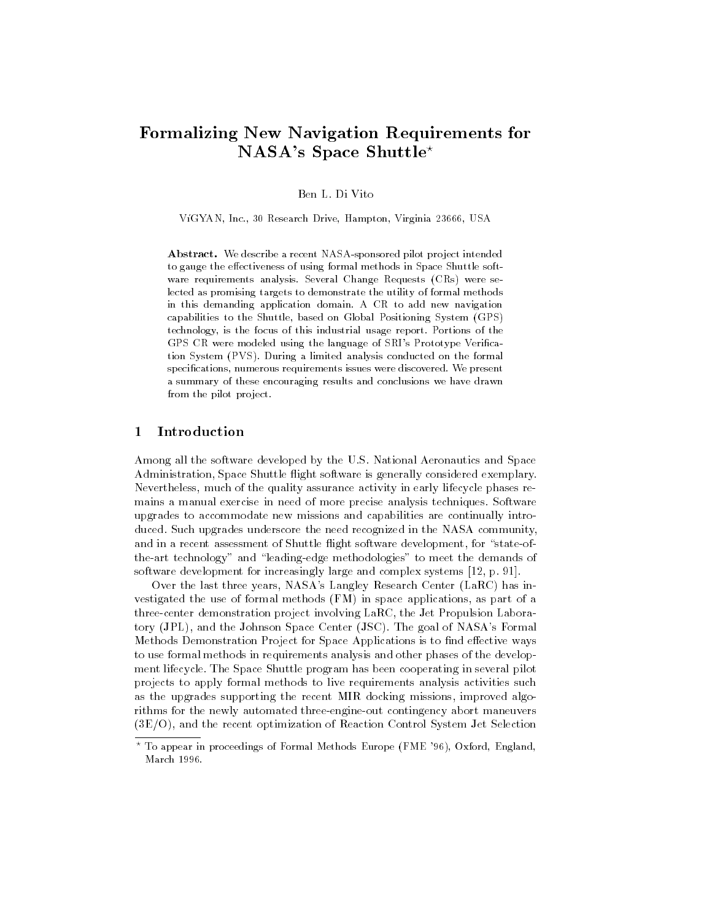# Formalizing New Navigation Requirements for NASA's Space Shuttle?

VGYAN, Inc., 30 Research Drive, Hampton, Virginia 23666, USA

Abstract. We describe a recent NASA-sponsored pilot project intended to gauge the effectiveness of using formal methods in Space Shuttle software requirements analysis. Several Change Requests (CRs) were selected as promising targets to demonstrate the utility of formal methods in this demanding application domain. A CR to add new navigation capabilities to the Shuttle, based on Global Positioning System (GPS) technology, is the focus of this industrial usage report. Portions of the GPS CR were modeled using the language of SRI's Prototype Verication System (PVS). During a limited analysis conducted on the formal specifications, numerous requirements issues were discovered. We present a summary of these encouraging results and conclusions we have drawn from the pilot project.

#### $\mathbf{1}$ **Introduction**

Among all the software developed by the U.S. National Aeronautics and Space Administration, Space Shuttle flight software is generally considered exemplary. Nevertheless, much of the quality assurance activity in early lifecycle phases remains a manual exercise in need of more precise analysis techniques. Software upgrades to accommodate new missions and capabilities are continually introduced. Such upgrades underscore the need recognized in the NASA community, and in a recent assessment of Shuttle flight software development, for "state-ofthe-art technology" and \leading-edge methodologies" to meet the demands of software development for increasingly large and complex systems [12, p. 91].

Over the last three years, NASA's Langley Research Center (LaRC) has investigated the use of formal methods (FM) in space applications, as part of a three-center demonstration project involving LaRC, the Jet Propulsion Laboratory (JPL), and the Johnson Space Center (JSC). The goal of NASA's Formal Methods Demonstration Project for Space Applications is to find effective ways to use formal methods in requirements analysis and other phases of the develop ment lifecycle. The Space Shuttle program has been cooperating in several pilot projects to apply formal methods to live requirements analysis activities such as the upgrades supporting the recent MIR docking missions, improved algorithms for the newly automated three-engine-out contingency abort maneuvers (3E/O), and the recent optimization of Reaction Control System Jet Selection

<sup>?</sup> To appear in proceedings of Formal Methods Europe (FME '96), Oxford, England, March 1996.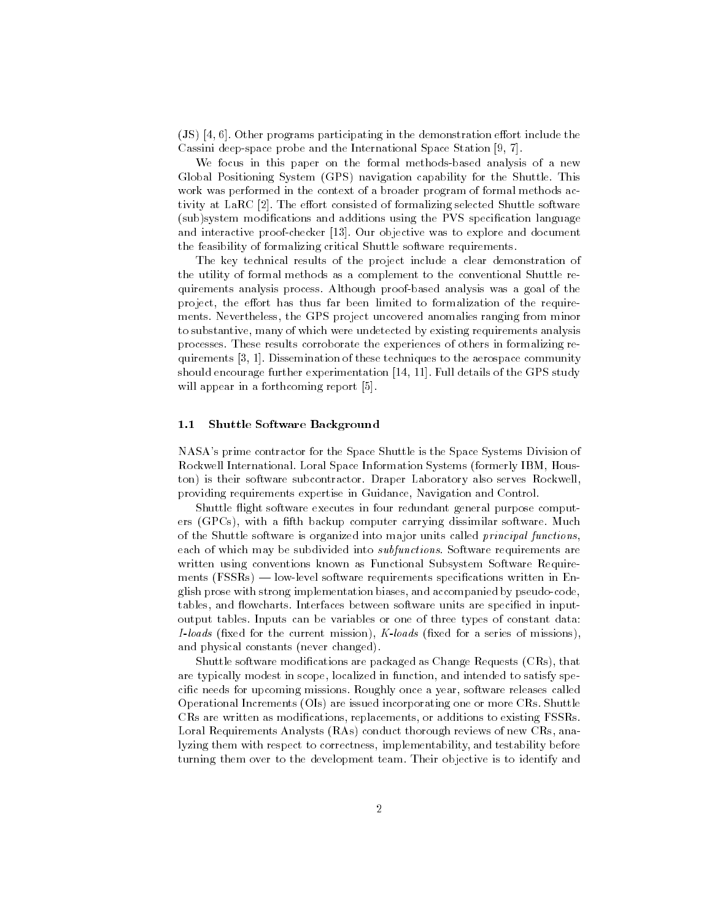$(JS)$  [4, 6]. Other programs participating in the demonstration effort include the Cassini deep-space probe and the International Space Station [9, 7].

We focus in this paper on the formal methods-based analysis of a new Global Positioning System (GPS) navigation capability for the Shuttle. This work was performed in the context of a broader program of formal methods activity at LaRC [2]. The effort consisted of formalizing selected Shuttle software (sub)system modifications and additions using the PVS specification language and interactive proof-checker [13]. Our objective was to explore and document the feasibility of formalizing critical Shuttle software requirements.

The key technical results of the project include a clear demonstration of the utility of formal methods as a complement to the conventional Shuttle requirements analysis process. Although proof-based analysis was a goal of the project, the effort has thus far been limited to formalization of the requirements. Nevertheless, the GPS project uncovered anomalies ranging from minor to substantive, many of which were undetected by existing requirements analysis processes. These results corroborate the experiences of others in formalizing requirements [3, 1]. Dissemination of these techniques to the aerospace community should encourage further experimentation [14, 11]. Full details of the GPS study will appear in a forthcoming report [5].

#### Shuttle Software Background  $1.1$

NASA's prime contractor for the Space Shuttle is the Space Systems Division of Rockwell International. Loral Space Information Systems (formerly IBM, Houston) is their software subcontractor. Draper Laboratory also serves Rockwell, providing requirements expertise in Guidance, Navigation and Control.

Shuttle flight software executes in four redundant general purpose computers (GPCs), with a fth backup computer carrying dissimilar software. Much of the Shuttle software is organized into major units called principal functions, each of which may be subdivided into *subfunctions*. Software requirements are written using conventions known as Functional Subsystem Software Require ments  $(FSSRs)$  — low-level software requirements specifications written in English prose with strong implementation biases, and accompanied by pseudo-code, tables, and flowcharts. Interfaces between software units are specified in inputoutput tables. Inputs can be variables or one of three types of constant data: *I-loads* (fixed for the current mission),  $K$ -loads (fixed for a series of missions), and physical constants (never changed).

Shuttle software modifications are packaged as Change Requests  $(CRs)$ , that are typically modest in scope, localized in function, and intended to satisfy specific needs for upcoming missions. Roughly once a year, software releases called Operational Increments (OIs) are issued incorporating one or more CRs. Shuttle CRs are written as modications, replacements, or additions to existing FSSRs. Loral Requirements Analysts (RAs) conduct thorough reviews of new CRs, analyzing them with respect to correctness, implementability, and testability before turning them over to the development team. Their objective is to identify and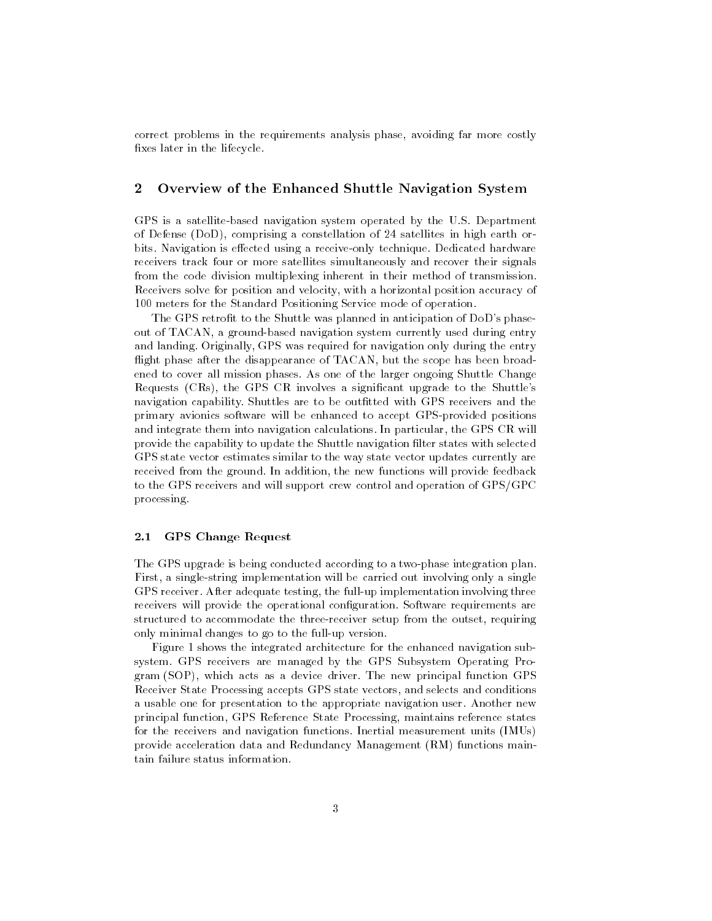correct problems in the requirements analysis phase, avoiding far more costly xes later in the lifecycle.

### $\overline{2}$ Overview of the Enhanced Shuttle Navigation System

GPS is a satellite-based navigation system operated by the U.S. Department of Defense (DoD), comprising a constellation of 24 satellites in high earth orbits. Navigation is effected using a receive-only technique. Dedicated hardware receivers track four or more satellites simultaneously and recover their signals from the code division multiplexing inherent in their method of transmission. Receivers solve for position and velocity, with a horizontal position accuracy of 100 meters for the Standard Positioning Service mode of operation.

The GPS retrofit to the Shuttle was planned in anticipation of DoD's phaseout of TACAN, a ground-based navigation system currently used during entry and landing. Originally, GPS was required for navigation only during the entry flight phase after the disappearance of TACAN, but the scope has been broadened to cover all mission phases. As one of the larger ongoing Shuttle Change Requests (CRs), the GPS CR involves a signicant upgrade to the Shuttle's navigation capability. Shuttles are to be outfitted with GPS receivers and the primary avionics software will be enhanced to accept GPS-provided positions and integrate them into navigation calculations. In particular, the GPS CR will provide the capability to update the Shuttle navigation filter states with selected GPS state vector estimates similar to the way state vector updates currently are received from the ground. In addition, the new functions will provide feedback to the GPS receivers and will support crew control and operation of GPS/GPC processing.

### 2.1 GPS Change Request

The GPS upgrade is being conducted according to a two-phase integration plan. First, a single-string implementation will be carried out involving only a single GPS receiver. After adequate testing, the full-up implementation involving three receivers will provide the operational configuration. Software requirements are structured to accommodate the three-receiver setup from the outset, requiring only minimal changes to go to the full-up version.

Figure 1 shows the integrated architecture for the enhanced navigation subsystem. GPS receivers are managed by the GPS Subsystem Operating Program (SOP), which acts as a device driver. The new principal function GPS Receiver State Processing accepts GPS state vectors, and selects and conditions a usable one for presentation to the appropriate navigation user. Another new principal function, GPS Reference State Processing, maintains reference states for the receivers and navigation functions. Inertial measurement units (IMUs) provide acceleration data and Redundancy Management (RM) functions maintain failure status information.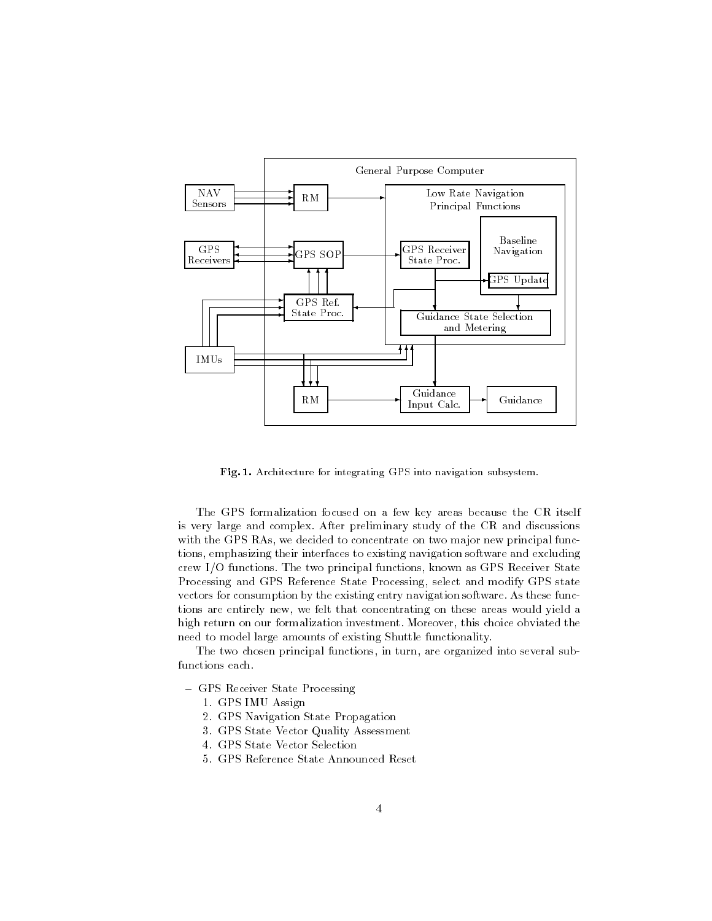

Fig. 1. Architecture for integrating GPS into navigation subsystem.

The GPS formalization focused on a few key areas because the CR itself is very large and complex. After preliminary study of the CR and discussions with the GPS RAs, we decided to concentrate on two major new principal functions, emphasizing their interfaces to existing navigation software and excluding crew I/O functions. The two principal functions, known as GPS Receiver State Processing and GPS Reference State Processing, select and modify GPS state vectors for consumption by the existing entry navigation software. As these functions are entirely new, we felt that concentrating on these areas would yield a high return on our formalization investment. Moreover, this choice obviated the need to model large amounts of existing Shuttle functionality.

The two chosen principal functions, in turn, are organized into several subfunctions each.

- { GPS Receiver State Processing
	- 1. GPS IMU Assign
	- 2. GPS Navigation State Propagation
	- 3. GPS State Vector Quality Assessment
	- 4. GPS State Vector Selection
	- 5. GPS Reference State Announced Reset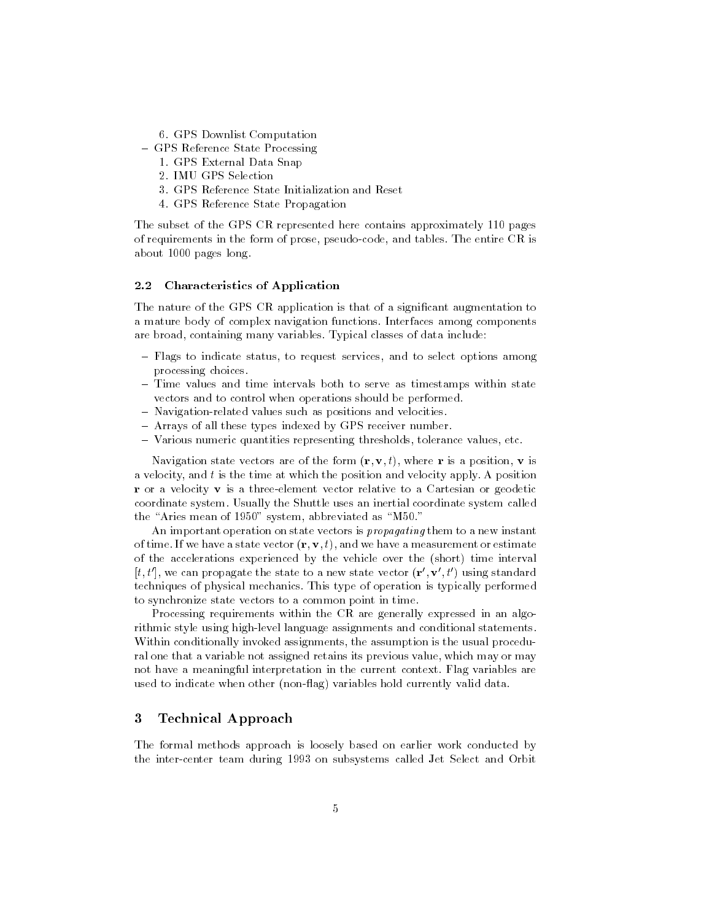- 6. GPS Downlist Computation
- GPS Reference State Processing
	- 1. GPS External Data Snap
	- 2. IMU GPS Selection
	- 3. GPS Reference State Initialization and Reset
	- 4. GPS Reference State Propagation

The subset of the GPS CR represented here contains approximately 110 pages of requirements in the form of prose, pseudo-code, and tables. The entire CR is about 1000 pages long.

#### $2.2$ Characteristics of Application

The nature of the GPS CR application is that of a signicant augmentation to a mature body of complex navigation functions. Interfaces among components are broad, containing many variables. Typical classes of data include:

- { Flags to indicate status, to request services, and to select options among processing choices.
- Time values and time intervals both to serve as timestamps within state vectors and to control when operations should be performed.
- ${\bf -}$  Navigation-related values such as positions and velocities.
- { Arrays of all these types indexed by GPS receiver number.
- { Various numeric quantities representing thresholds, tolerance values, etc.

Navigation state vectors are of the form  $(\mathbf{r}, \mathbf{v}, t)$ , where r is a position, v is a velocity, and t is the time at which the position and velocity apply. A position r or a velocity v is a three-element vector relative to a Cartesian or geodetic coordinate system. Usually the Shuttle uses an inertial coordinate system called the "Aries mean of 1950" system, abbreviated as "M50."

An important operation on state vectors is propagating them to a new instant of time. If we have a state vector  $(\mathbf{r}, \mathbf{v}, t)$ , and we have a measurement or estimate of the accelerations experienced by the vehicle over the (short) time interval [t, t'], we can propagate the state to a new state vector  $(\mathbf{r}', \mathbf{v}', t')$  using standard techniques of physical mechanics. This type of operation is typically performed to synchronize state vectors to a common point in time.

Processing requirements within the CR are generally expressed in an algorithmic style using high-level language assignments and conditional statements. Within conditionally invoked assignments, the assumption is the usual procedural one that a variable not assigned retains its previous value, which may or may not have a meaningful interpretation in the current context. Flag variables are used to indicate when other (non-flag) variables hold currently valid data.

## 3 Technical Approach

The formal methods approach is loosely based on earlier work conducted by the inter-center team during 1993 on subsystems called Jet Select and Orbit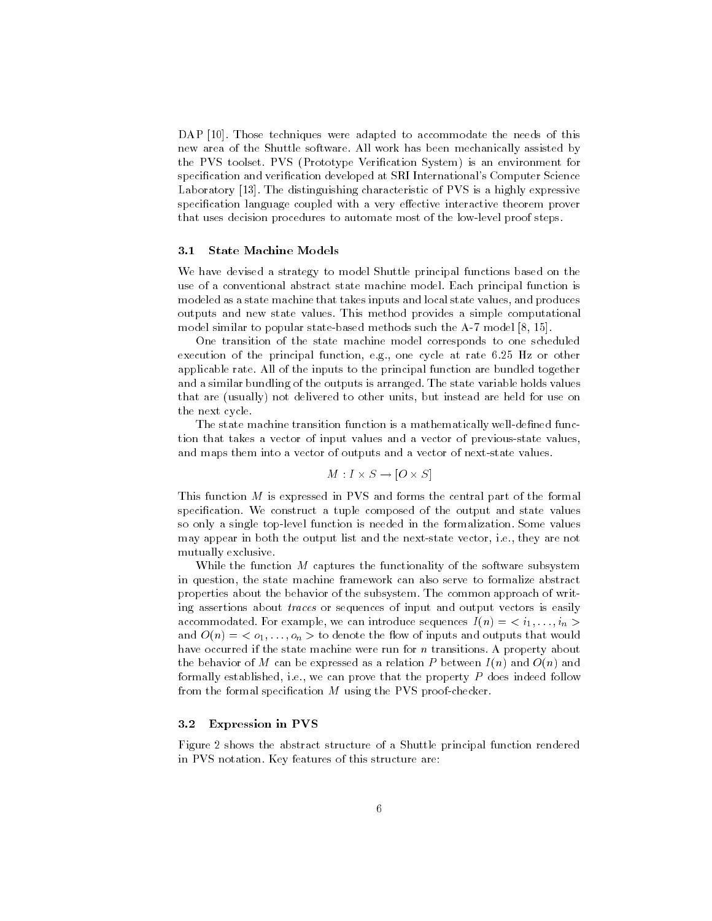DAP [10]. Those techniques were adapted to accommodate the needs of this new area of the Shuttle software. All work has been mechanically assisted by the PVS toolset. PVS (Prototype Verification System) is an environment for specification and verification developed at SRI International's Computer Science Laboratory [13]. The distinguishing characteristic of PVS is a highly expressive specification language coupled with a very effective interactive theorem prover that uses decision procedures to automate most of the low-level proof steps.

### 3.1 State Machine Models

We have devised a strategy to model Shuttle principal functions based on the use of a conventional abstract state machine model. Each principal function is modeled as a state machine that takes inputs and local state values, and produces outputs and new state values. This method provides a simple computational model similar to popular state-based methods such the A-7 model [8, 15].

One transition of the state machine model corresponds to one scheduled execution of the principal function, e.g., one cycle at rate 6.25 Hz or other applicable rate. All of the inputs to the principal function are bundled together and a similar bundling of the outputs is arranged. The state variable holds values that are (usually) not delivered to other units, but instead are held for use on the next cycle.

The state machine transition function is a mathematically well-defined function that takes a vector of input values and a vector of previous-state values, and maps them into a vector of outputs and a vector of next-state values.

$$
M: I \times S \to [O \times S]
$$

This function <sup>M</sup> is expressed in PVS and forms the central part of the formal specification. We construct a tuple composed of the output and state values so only a single top-level function is needed in the formalization. Some values may appear in both the output list and the next-state vector, i.e., they are not mutually exclusive.

While the function  $M$  captures the functionality of the software subsystem in question, the state machine framework can also serve to formalize abstract properties about the behavior of the subsystem. The common approach of writing assertions about traces or sequences of input and output vectors is easily accommodated. For example, we can introduce sequences  $I(n) = \langle i_1, \ldots, i_n \rangle$ and  $O(n) = \langle o_1, \ldots, o_n \rangle$  to denote the flow of inputs and outputs that would have occurred if the state machine were run for n transitions. A property about the behavior of M can be expressed as a relation P between  $I(n)$  and  $O(n)$  and formally established, i.e., we can prove that the property  $P$  does indeed follow from the formal specification  $M$  using the PVS proof-checker.

### 3.2 Expression in PVS

Figure 2 shows the abstract structure of a Shuttle principal function rendered in PVS notation. Key features of this structure are: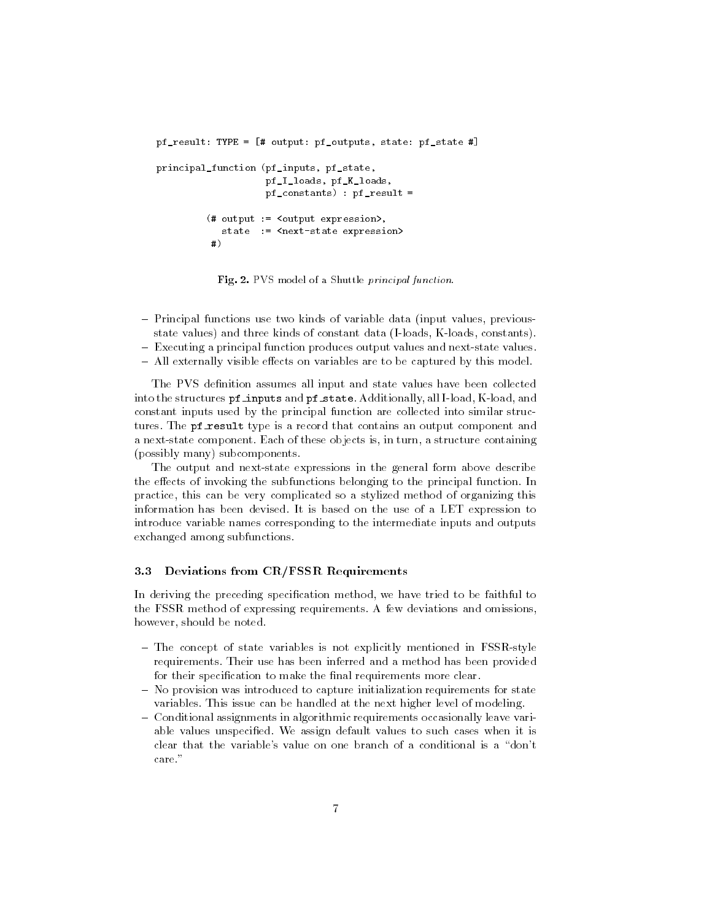```
pf_result: TYPE = [# output: pf_outputs, state: pf_state #]
principal_function (pf_inputs, pf_state,
                    pf_I_loads, pf_K_loads,
                   pf_constants) : pf_result =
         (# output := <output expression>,
            state := <next-state expression>
          \#)
          #)
```
Fig. 2. PVS model of a Shuttle principal function.

- { Principal functions use two kinds of variable data (input values, previousstate values) and three kinds of constant data (I-loads, K-loads, constants).
- { Executing a principal function produces output values and next-state values.
- All externally visible effects on variables are to be captured by this model.

The PVS definition assumes all input and state values have been collected into the structures pf\_inputs and pf\_state. Additionally, all I-load, K-load, and constant inputs used by the principal function are collected into similar structures. The pf result type is a record that contains an output component and a next-state component. Each of these objects is, in turn, a structure containing (possibly many) subcomponents.

The output and next-state expressions in the general form above describe the effects of invoking the subfunctions belonging to the principal function. In practice, this can be very complicated so a stylized method of organizing this information has been devised. It is based on the use of a LET expression to introduce variable names corresponding to the intermediate inputs and outputs exchanged among subfunctions.

### 3.3 Deviations from CR/FSSR Requirements

In deriving the preceding specification method, we have tried to be faithful to the FSSR method of expressing requirements. A few deviations and omissions, however, should be noted.

- The concept of state variables is not explicitly mentioned in FSSR-style requirements. Their use has been inferred and a method has been provided for their specification to make the final requirements more clear.
- { No provision was introduced to capture initialization requirements for state variables. This issue can be handled at the next higher level of modeling.
- { Conditional assignments in algorithmic requirements occasionally leave variable values unspecified. We assign default values to such cases when it is clear that the variable's value on one branch of a conditional is a "don't care."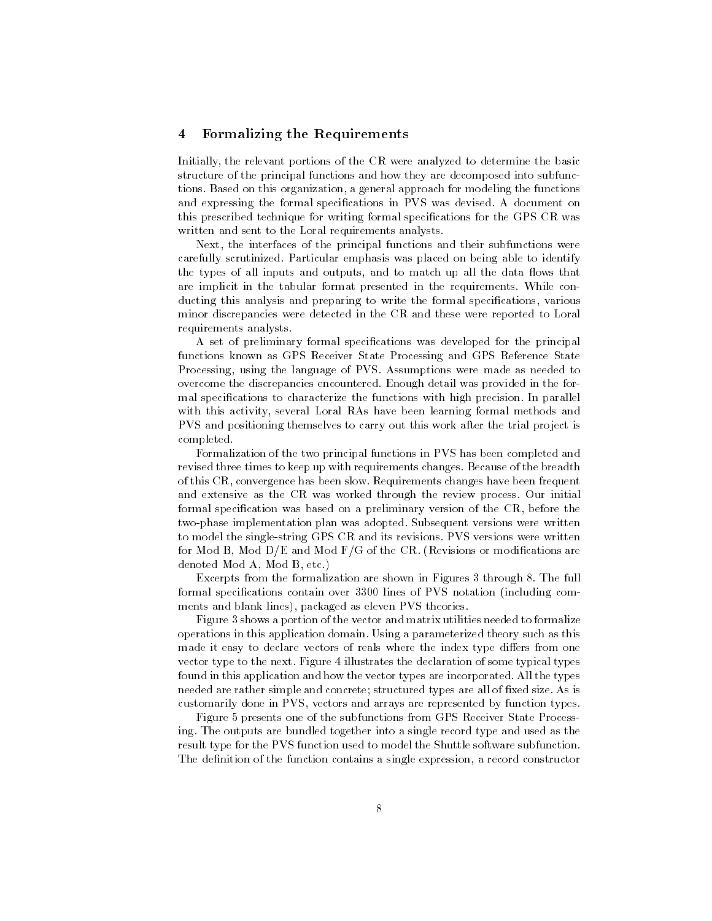## 4 Formalizing the Requirements

Initially, the relevant portions of the CR were analyzed to determine the basic structure of the principal functions and how they are decomposed into subfunctions. Based on this organization, a general approach for modeling the functions and expressing the formal specifications in PVS was devised. A document on this prescribed technique for writing formal specifications for the GPS CR was written and sent to the Loral requirements analysts.

Next, the interfaces of the principal functions and their subfunctions were carefully scrutinized. Particular emphasis was placed on being able to identify the types of all inputs and outputs, and to match up all the data flows that are implicit in the tabular format presented in the requirements. While conducting this analysis and preparing to write the formal specifications, various minor discrepancies were detected in the CR and these were reported to Loral requirements analysts.

A set of preliminary formal specifications was developed for the principal functions known as GPS Receiver State Processing and GPS Reference State Processing, using the language of PVS. Assumptions were made as needed to overcome the discrepancies encountered. Enough detail was provided in the formal specications to characterize the functions with high precision. In parallel with this activity, several Loral RAs have been learning formal methods and PVS and positioning themselves to carry out this work after the trial project is completed.

Formalization of the two principal functions in PVS has been completed and revised three times to keep up with requirements changes. Because of the breadth of this CR, convergence has been slow. Requirements changes have been frequent and extensive as the CR was worked through the review process. Our initial formal specication was based on a preliminary version of the CR, before the two-phase implementation plan was adopted. Subsequent versions were written to model the single-string GPS CR and its revisions. PVS versions were written for Mod B, Mod  $D/E$  and Mod  $F/G$  of the CR. (Revisions or modifications are denoted Mod A, Mod B, etc.)

Excerpts from the formalization are shown in Figures 3 through 8. The full formal specications contain over 3300 lines of PVS notation (including com ments and blank lines), packaged as eleven PVS theories.

Figure 3 shows a portion of the vector and matrix utilities needed to formalize operations in this application domain. Using a parameterized theory such as this made it easy to declare vectors of reals where the index type differs from one vector type to the next. Figure 4 illustrates the declaration of some typical types found in this application and how the vector types are incorporated. All the types needed are rather simple and concrete; structured types are all of fixed size. As is customarily done in PVS, vectors and arrays are represented by function types.

Figure 5 presents one of the subfunctions from GPS Receiver State Processing. The outputs are bundled together into a single record type and used as the result type for the PVS function used to model the Shuttle software subfunction. The definition of the function contains a single expression, a record constructor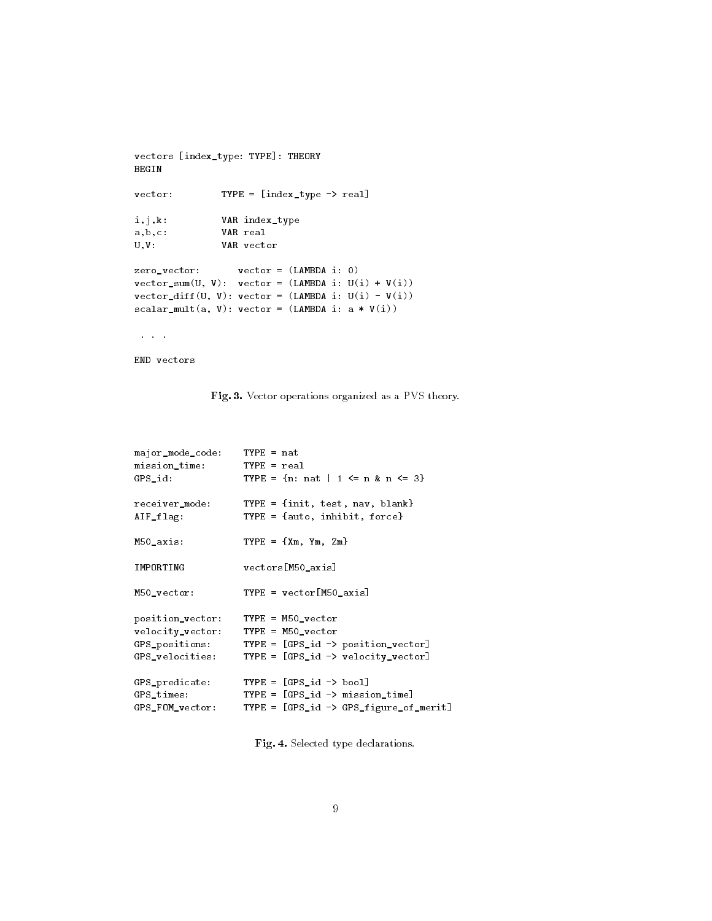```
vectors [index_type: TYPE]: THEORY
BEGIN
vector: TYPE = [index_type -> real]
i,j,k: VAR index_type
a,b,c: VAR real
U,V: VAR vector
zero_vector: vector = (LAMBDA i: 0)
vector\_sum(U, V): vector = (LAMBDA i: U(i) + V(i))vector\_diff(U, V): vector = (LAMBDA i: U(i) - V(i))scalar_mult(a, V): vector = (LAMBDA i: a * V(i)). . .
```

```
END vectors
```
Fig. 3. Vector operations organized as a PVS theory.

| major_mode_code: | $TYPE = nat$                                      |
|------------------|---------------------------------------------------|
| mission_time:    | $TYPE = real$                                     |
| GPS id:          | TYPE = $\{n: n \in I \mid 1 \le n \& n \le 3\}$   |
| receiver_mode:   | $TYPE = \{init, test, nav, blank\}$               |
| AIF flag:        | $TYPE = \{auto, inhibit, force\}$                 |
| $M50$ axis:      | $TYPE = \{Xm, Ym, Zm\}$                           |
| IMPORTING        | vectors [M50_axis]                                |
| M50_vector:      | $TYPE = vector[M50 axis]$                         |
| position_vector: | $TYPE = M50__ vector$                             |
| velocity_vector: | $TYPE = M50 vector$                               |
| GPS_positions:   | TYPE = $[GPS_id \rightarrow position\_vector]$    |
| GPS_velocities:  | TYPE = $[GPS_id \rightarrow velocity_vector]$     |
| GPS_predicate:   | $TYPE = [GPS_id \rightarrow bool]$                |
| GPS_times:       | TYPE = $[GPS_id \rightarrow mission_time]$        |
| GPS_FOM_vector:  | TYPE = $[GPS_id \rightarrow GPS_figure_of_merit]$ |

Fig. 4. Selected type declarations.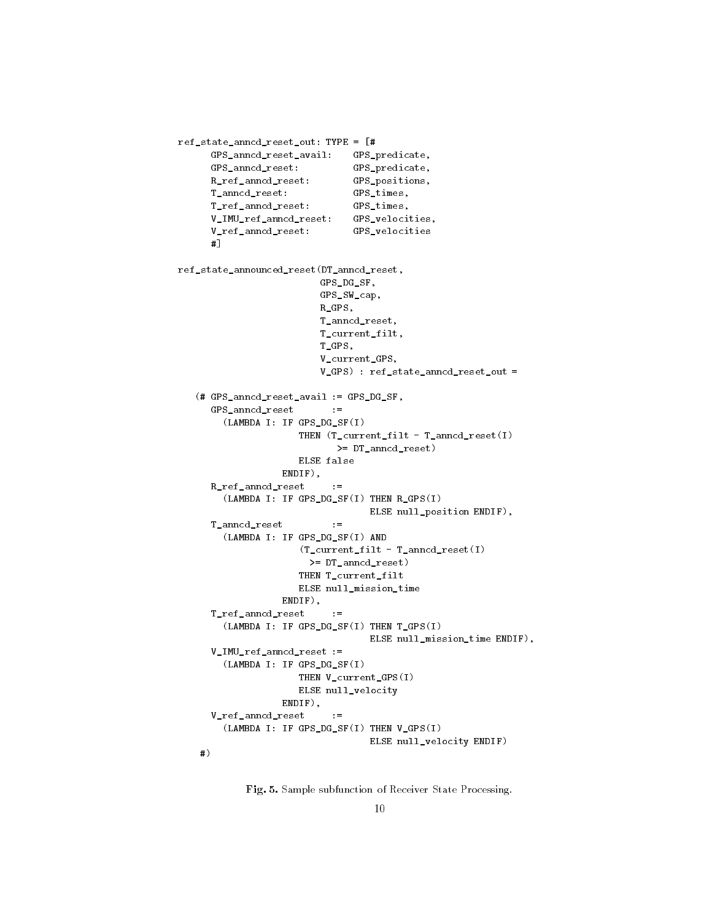```
ref_state_anncd_reset_out: TYPE = [#
     GPS_anncd_reset_avail: GPS_predicate,
     GPS_anncd_reset: GPS_predicate,
     R_ref_anncd_reset: GPS_positions,
     T_anncd_reset: GPS_times,
     T_ref_anncd_reset: GPS_times,
     V_IMU_ref_anncd_reset: GPS_velocities,
     V_ref_anncd_reset: GPS_velocities
     #]
ref_state_announced_reset(DT_anncd_reset,
                         GPS_DG_SF,
                         GPS_SW_cap,
                         R_GPS,
                         T_anncd_reset,
                         T_current_filt,
                         T_GPS,
                         V_current_GPS,
                         V_GPS) : ref_state_anncd_reset_out =
   (# GPS_anncd_reset_avail := GPS_DG_SF,
      GPS_anncd_reset :=
        (LAMBDA I: IF GPS_DG_SF(I)
                     THEN (T_current_filt - T_anncd_reset(I)
                            >= DT_anncd_reset)
                     ELSE false
                  ENDIF),
     R_ref_anncd_reset :=
        \verb|(LAMBDA I: IF GPS_DG_SF(I) THEN R_GPS(I)|\\ELSE null_position ENDIF),
      T_anncd_reset :=
        (LAMBDA I: IF GPS_DG_SF(I) AND
                     (T_current_filt - T_anncd_reset(I)
                       >= DT_anncd_reset)
                     THEN T_current_filt
                     ELSE null_mission_time
                  ENDIF),
      T_ref_anncd_reset :=
        (LAMBDA I: IF GPS_DG_SF(I) THEN T_GPS(I)
                                 ELSE null_mission_time ENDIF),
     V_IMU_ref_anncd_reset :=
        (LAMBDA I: IF GPS_DG_SF(I)
                     THEN V_current_GPS(I)
                     ELSE null_velocity
                  ENDIF),
      V_ref_anncd_reset :=
        \verb|(LAMBDA I: IF GPS_DG_SF(I) THEN V_GPS(I)|| \\ELSE null_velocity ENDIF)
   #)
```
Fig. 5. Sample subfunction of Receiver State Processing.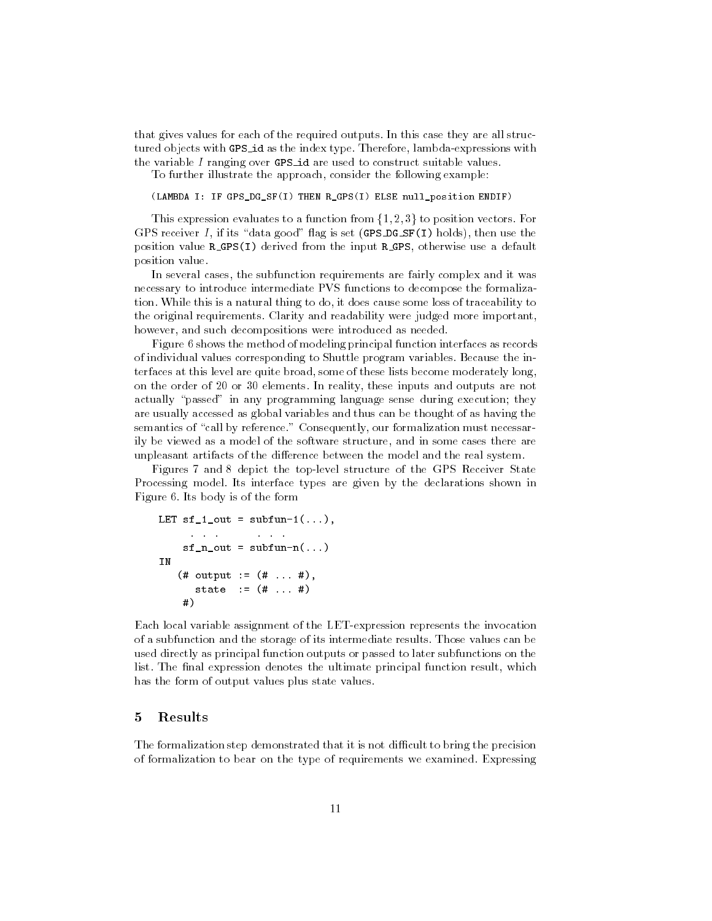that gives values for each of the required outputs. In this case they are all structured objects with GPS\_id as the index type. Therefore, lambda-expressions with the variable  $I$  ranging over GPS id are used to construct suitable values.

To further illustrate the approach, consider the following example:

(LAMBDA I: IF GPS\_DG\_SF(I) THEN R\_GPS(I) ELSE null\_position ENDIF)

This expression evaluates to a function from  $\{1, 2, 3\}$  to position vectors. For GPS receiver I, if its "data good" flag is set (GPS  $DG\_SF(I)$  holds), then use the position value R\_GPS(I) derived from the input R\_GPS, otherwise use a default position value.

In several cases, the subfunction requirements are fairly complex and it was necessary to introduce intermediate PVS functions to decompose the formalization. While this is a natural thing to do, it does cause some loss of traceability to the original requirements. Clarity and readability were judged more important, however, and such decompositions were introduced as needed.

Figure 6 shows the method of modeling principal function interfaces as records of individual values corresponding to Shuttle program variables. Because the interfaces at this level are quite broad, some of these lists become moderately long, on the order of 20 or 30 elements. In reality, these inputs and outputs are not actually "passed" in any programming language sense during execution; they are usually accessed as global variables and thus can be thought of as having the semantics of "call by reference." Consequently, our formalization must necessarily be viewed as a model of the software structure, and in some cases there are unpleasant artifacts of the difference between the model and the real system.

Figures 7 and 8 depict the top-level structure of the GPS Receiver State Processing model. Its interface types are given by the declarations shown in Figure 6. Its body is of the form

```
LET sf_1-out = subfun-1(...),
     . . . . . .
    sf_nout = subfun-n(...)IN
   ( # output := ( # ... #),state := (# ... #)
    \#)
```
Each local variable assignment of the LET-expression represents the invocation of a subfunction and the storage of its intermediate results. Those values can be used directly as principal function outputs or passed to later subfunctions on the list. The final expression denotes the ultimate principal function result, which has the form of output values plus state values.

## 5 Results

#)

The formalization step demonstrated that it is not difficult to bring the precision of formalization to bear on the type of requirements we examined. Expressing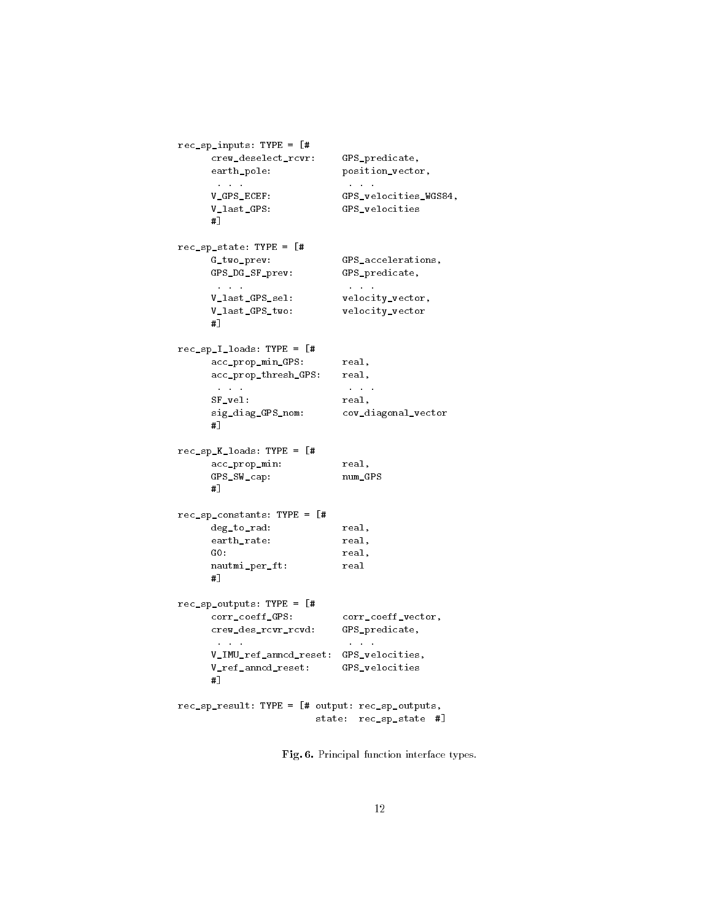```
rec_sp_inputs: TYPE = [#
        crew_deselect_rcvr: GPS_predicate,
        earth_pole: position_vector,
         . . . . . .
        V_GPS_ECEF: GPS_velocities_WGS84,
        V_last_GPS: GPS_velocities
        #]
rec\_sp\_state: \; \texttt{TYPE} \; = \; \texttt{[#}G_two_prev: GPS_accelerations,
        GPS_DG_SF_prev: GPS_predicate,
        . . . . . .
        V_last_GPS_sel: velocity_vector,
        V_last_GPS_two: velocity_vector
        #]
rec_sp_I_loads: TYPE = [#
        acc_prop_min_GPS: real,
        acc_prop_thresh_GPS: real,
        . The set of the set of the set of the set of the set of the set of the set of the set of the set of the set of the set of the set of the set of the set of the set of the set of the set of the set of the set of the set of
        section and the section of the section of the section of the section of the section of the section of the section of the section of the section of the section of the section of the section of the section of the section of 
        sig_diag_GPS_nom: cov_diagonal_vector
        #]
rec_sp_K_loads: TYPE = [#
        acc_prop_min: real,
        GPS_SW_cap: num_GPS
        #]
rec_sp_constants: TYPE = [#
        deg_to_rad: real,
        earth_rate: real,
        goes are all the contracted and contract and contract of the contracted problem of the contract of the contract of the contracted problem of the contracted problem of the contracted problem of the contracted problem of the
        nautmi_per_ft:
                                        real
        #]
rec_sp_outputs: TYPE = [#
        corr_coeff_GPS: corr_coeff_vector,
        crew_des_rcvr_rcvd: GPS_predicate,
        . . . . . .
        V_IMU_ref_anncd_reset: GPS_velocities,
        V_ref_anncd_reset: GPS_velocities
        #]
rec_sp_result: TYPE = [# output: rec_sp_outputs,
                                  state: rec_sp_state #]
```
Fig. 6. Principal function interface types.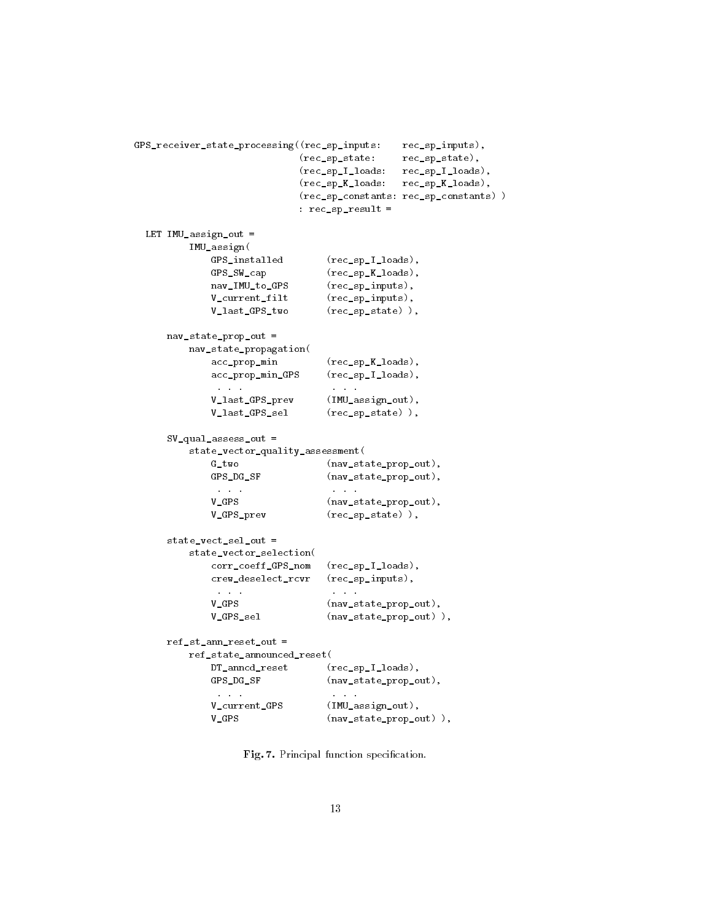```
GPS_receiver_state_processing((rec_sp_inputs: rec_sp_inputs),
                         (rec_sp_state: rec_sp_state),
                         (rec_sp_I_loads: rec_sp_I_loads),
                         (rec_sp_K_loads: rec_sp_K_loads),
                         (rec_sp_constants: rec_sp_constants) )
                         : rec_sp_result =
 LET IMU_assign_out =
        IMU_assign(
           GPS_installed (rec_sp_I_loads),
           GPS_SW_cap (rec_sp_K_loads),
           nav_IMU_to_GPS (rec_sp_inputs),
           V_current_filt (rec_sp_inputs),
           V_last_GPS_two (rec_sp_state) ),
    nav_state_prop_out =
        nav_state_propagation(
           acc_prop_min (rec_sp_K_loads),
           acc_prop_min_GPS (rec_sp_I_loads),
           . . . . . .
           V_last_GPS_prev (IMU_assign_out),
           V_last_GPS_sel (rec_sp_state) ),
    SV_qual_assess_out =
        state_vector_quality_assessment(
           G_two (nav_state_prop_out),
           GPS_DG_SF (nav_state_prop_out),
           V_GPS (nav_state_prop_out),
           V_GPS_prev (rec_sp_state) ),
    state_vect_sel_out =
        state vector selection(
           corr_coeff_GPS_nom (rec_sp_I_loads),
           crew_deselect_rcvr (rec_sp_inputs),
           . . . . . .
           V_GPS (nav_state_prop_out),
           V_GPS_sel (nav_state_prop_out) ),
    ref_st_ann_reset_out =
        ref_state_announced_reset(
           DT_anncd_reset (rec_sp_I_loads),
           GPS_DG_SF (nav_state_prop_out),
            . . . . . .
           V_current_GPS (IMU_assign_out),
           V_GPS (nav_state_prop_out) ),
```
Fig. 7. Principal function specification.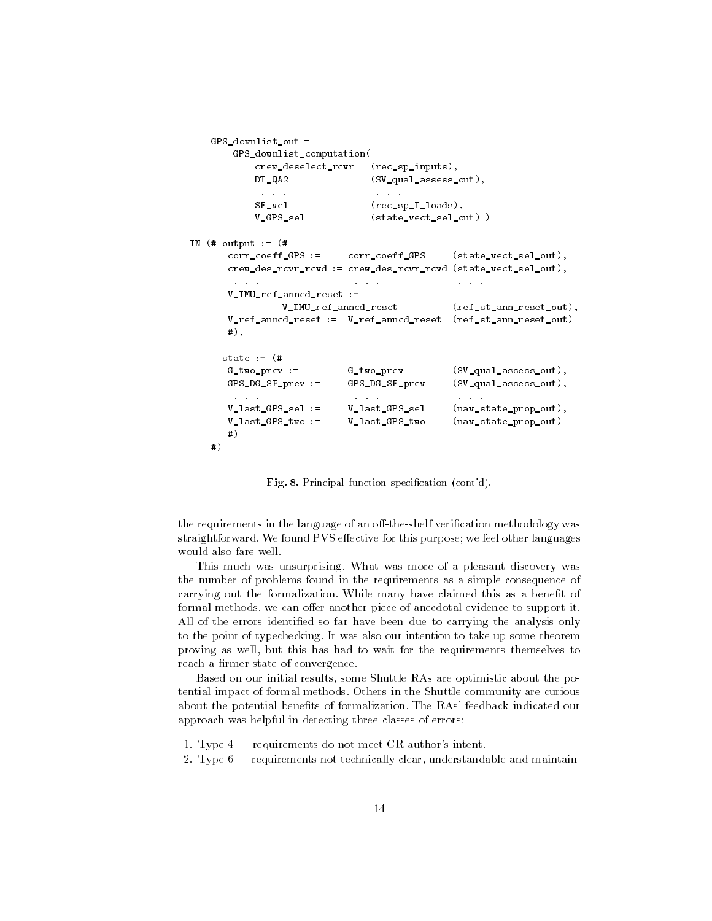```
GPS_downlist_out =
      GPS_downlist_computation(
          crew_deselect_rcvr (rec_sp_inputs),
          DT_QA2 		 (SV_qual_assess_out),
          . . . . . .
          SF_vel (rec_sp_I_loads),
          V_GPS_sel (state_vect_sel_out) )
IN ( # output := ( #
      corr_coeff_GPS := corr_coeff_GPS (state_vect_sel_out),
      crew_des_rcvr_rcvd := crew_des_rcvr_rcvd (state_vect_sel_out),
      \sim \sim \simV_IMU_ref_anncd_reset :=
              V_IMU_ref_anncd_reset (ref_st_ann_reset_out),
     V_ref_anncd_reset := V_ref_anncd_reset (ref_st_ann_reset_out)
     \#).
      #),
     state := (#
     G_two_prev := G_two_prev (SV_qual_assess_out),
     GPS_DG_SF_prev := GPS_DG_SF_prev (SV_qual_assess_out),
     V_last_GPS_sel := V_last_GPS_sel (nav_state_prop_out),
     V_last_GPS_two := V_last_GPS_two (nav_state_prop_out)
     #)
   #)
```
Fig. 8. Principal function specification (cont'd).

#)

the requirements in the language of an off-the-shelf verification methodology was straightforward. We found PVS effective for this purpose; we feel other languages would also fare well.

This much was unsurprising. What was more of a pleasant discovery was the number of problems found in the requirements as a simple consequence of carrying out the formalization. While many have claimed this as a benefit of formal methods, we can offer another piece of anecdotal evidence to support it. All of the errors identified so far have been due to carrying the analysis only to the point of typechecking. It was also our intention to take up some theorem proving as well, but this has had to wait for the requirements themselves to reach a firmer state of convergence.

Based on our initial results, some Shuttle RAs are optimistic about the potential impact of formal methods. Others in the Shuttle community are curious about the potential benefits of formalization. The RAs' feedback indicated our approach was helpful in detecting three classes of errors:

- 1. Type  $4$  requirements do not meet CR author's intent.
- 2. Type  $6$  requirements not technically clear, understandable and maintain-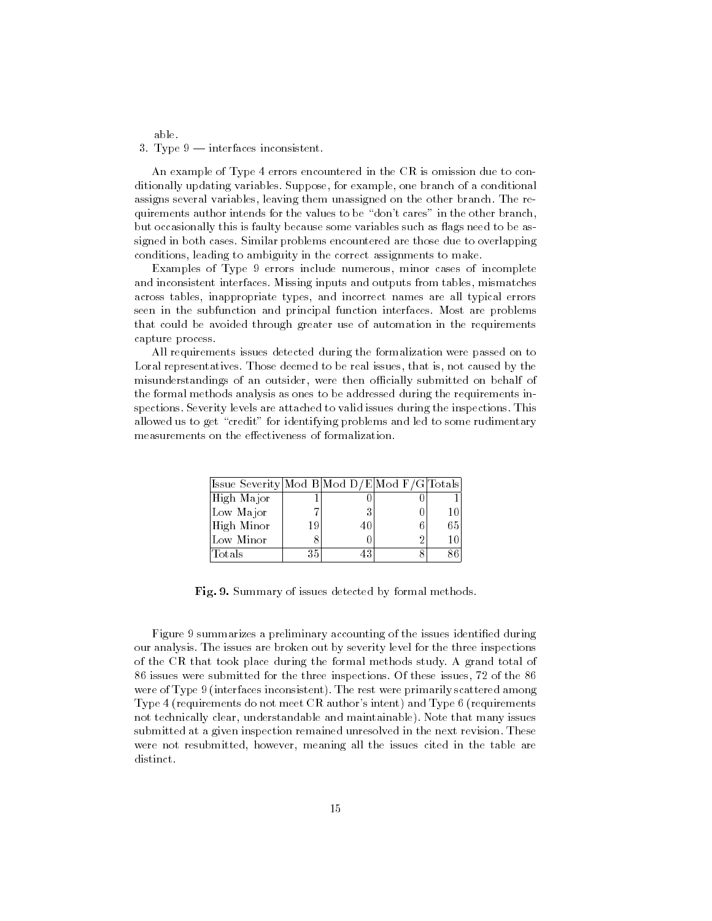3. Type  $9$  — interfaces inconsistent.

An example of Type 4 errors encountered in the CR is omission due to conditionally updating variables. Suppose, for example, one branch of a conditional assigns several variables, leaving them unassigned on the other branch. The requirements author intends for the values to be "don't cares" in the other branch, but occasionally this is faulty because some variables such as flags need to be assigned in both cases. Similar problems encountered are those due to overlapping conditions, leading to ambiguity in the correct assignments to make.

Examples of Type 9 errors include numerous, minor cases of incomplete and inconsistent interfaces. Missing inputs and outputs from tables, mismatches across tables, inappropriate types, and incorrect names are all typical errors seen in the subfunction and principal function interfaces. Most are problems that could be avoided through greater use of automation in the requirements capture process.

All requirements issues detected during the formalization were passed on to Loral representatives. Those deemed to be real issues, that is, not caused by the misunderstandings of an outsider, were then officially submitted on behalf of the formal methods analysis as ones to be addressed during the requirements inspections. Severity levels are attached to valid issues during the inspections. This allowed us to get "credit" for identifying problems and led to some rudimentary measurements on the effectiveness of formalization.

| Issue Severity Mod B Mod D/E Mod F/G Totals |    |    |    |
|---------------------------------------------|----|----|----|
| High Major                                  |    |    |    |
| Low Major                                   |    |    | 10 |
| High Minor                                  | 19 |    | 65 |
| Low Minor                                   |    |    |    |
| <b>Totals</b>                               | 35 | 13 |    |

Fig. 9. Summary of issues detected by formal methods.

Figure 9 summarizes a preliminary accounting of the issues identied during our analysis. The issues are broken out by severity level for the three inspections of the CR that took place during the formal methods study. A grand total of 86 issues were submitted for the three inspections. Of these issues, 72 of the 86 were of Type 9 (interfaces inconsistent). The rest were primarily scattered among Type 4 (requirements do not meet CR author's intent) and Type 6 (requirements not technically clear, understandable and maintainable). Note that many issues submitted at a given inspection remained unresolved in the next revision. These were not resubmitted, however, meaning all the issues cited in the table are distinct.

able.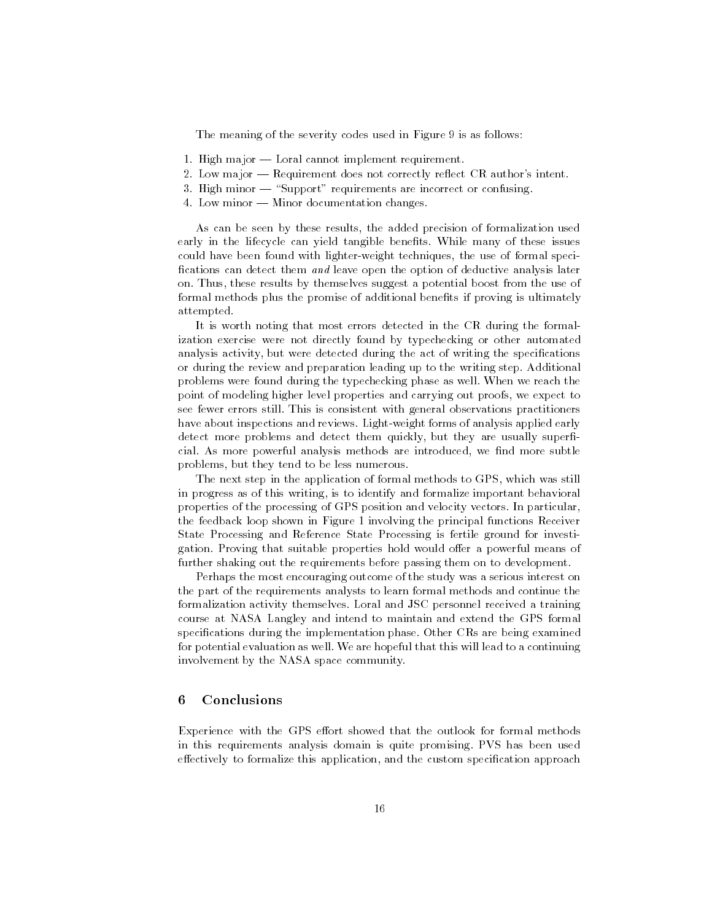The meaning of the severity codes used in Figure 9 is as follows:

- 1. High major Loral cannot implement requirement.
- 2. Low major  $-$  Requirement does not correctly reflect CR author's intent.
- 3. High minor  $-$  "Support" requirements are incorrect or confusing.
- 4. Low minor Minor documentation changes.

As can be seen by these results, the added precision of formalization used early in the lifecycle can yield tangible benefits. While many of these issues could have been found with lighter-weight techniques, the use of formal speci fications can detect them and leave open the option of deductive analysis later on. Thus, these results by themselves suggest a potential boost from the use of formal methods plus the promise of additional benefits if proving is ultimately attempted.

It is worth noting that most errors detected in the CR during the formalization exercise were not directly found by typechecking or other automated analysis activity, but were detected during the act of writing the specifications or during the review and preparation leading up to the writing step. Additional problems were found during the typechecking phase as well. When we reach the point of modeling higher level properties and carrying out proofs, we expect to see fewer errors still. This is consistent with general observations practitioners have about inspections and reviews. Light-weight forms of analysis applied early detect more problems and detect them quickly, but they are usually superficial. As more powerful analysis methods are introduced, we find more subtle problems, but they tend to be less numerous.

The next step in the application of formal methods to GPS, which was still in progress as of this writing, is to identify and formalize important behavioral properties of the processing of GPS position and velocity vectors. In particular, the feedback loop shown in Figure 1 involving the principal functions Receiver State Processing and Reference State Processing is fertile ground for investigation. Proving that suitable properties hold would offer a powerful means of further shaking out the requirements before passing them on to development.

Perhaps the most encouraging outcome of the study was a serious interest on the part of the requirements analysts to learn formal methods and continue the formalization activity themselves. Loral and JSC personnel received a training course at NASA Langley and intend to maintain and extend the GPS formal specifications during the implementation phase. Other CRs are being examined for potential evaluation as well. We are hopeful that this will lead to a continuing involvement by the NASA space community.

#### 6 **Conclusions**

Experience with the GPS effort showed that the outlook for formal methods in this requirements analysis domain is quite promising. PVS has been used effectively to formalize this application, and the custom specification approach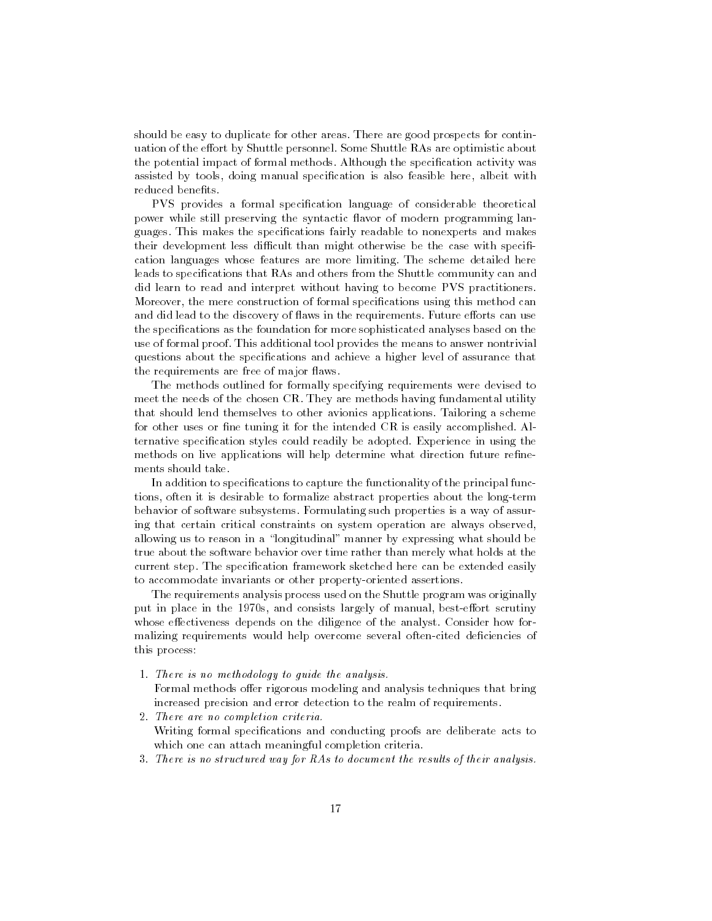should be easy to duplicate for other areas. There are good prospects for continuation of the effort by Shuttle personnel. Some Shuttle RAs are optimistic about the potential impact of formal methods. Although the specication activity was assisted by tools, doing manual specication is also feasible here, albeit with reduced benefits.

PVS provides a formal specification language of considerable theoretical power while still preserving the syntactic flavor of modern programming languages. This makes the specications fairly readable to nonexperts and makes their development less difficult than might otherwise be the case with specification languages whose features are more limiting. The scheme detailed here leads to specications that RAs and others from the Shuttle community can and did learn to read and interpret without having to become PVS practitioners. Moreover, the mere construction of formal specications using this method can and did lead to the discovery of flaws in the requirements. Future efforts can use the specifications as the foundation for more sophisticated analyses based on the use of formal proof. This additional tool provides the means to answer nontrivial questions about the specications and achieve a higher level of assurance that the requirements are free of major flaws.

The methods outlined for formally specifying requirements were devised to meet the needs of the chosen CR. They are methods having fundamental utility that should lend themselves to other avionics applications. Tailoring a scheme for other uses or fine tuning it for the intended CR is easily accomplished. Alternative specication styles could readily be adopted. Experience in using the methods on live applications will help determine what direction future refinements should take.

In addition to specifications to capture the functionality of the principal functions, often it is desirable to formalize abstract properties about the long-term behavior of software subsystems. Formulating such properties is a way of assuring that certain critical constraints on system operation are always observed, allowing us to reason in a "longitudinal" manner by expressing what should be true about the software behavior over time rather than merely what holds at the current step. The specication framework sketched here can be extended easily to accommodate invariants or other property-oriented assertions.

The requirements analysis process used on the Shuttle program was originally put in place in the 1970s, and consists largely of manual, best-effort scrutiny whose effectiveness depends on the diligence of the analyst. Consider how formalizing requirements would help overcome several often-cited deficiencies of this process:

1. There is no methodology to guide the analysis.

Formal methods offer rigorous modeling and analysis techniques that bring increased precision and error detection to the realm of requirements.

- 2. There are no completion criteria. Writing formal specifications and conducting proofs are deliberate acts to which one can attach meaningful completion criteria.
- 3. There is no structured way for RAs to document the results of their analysis.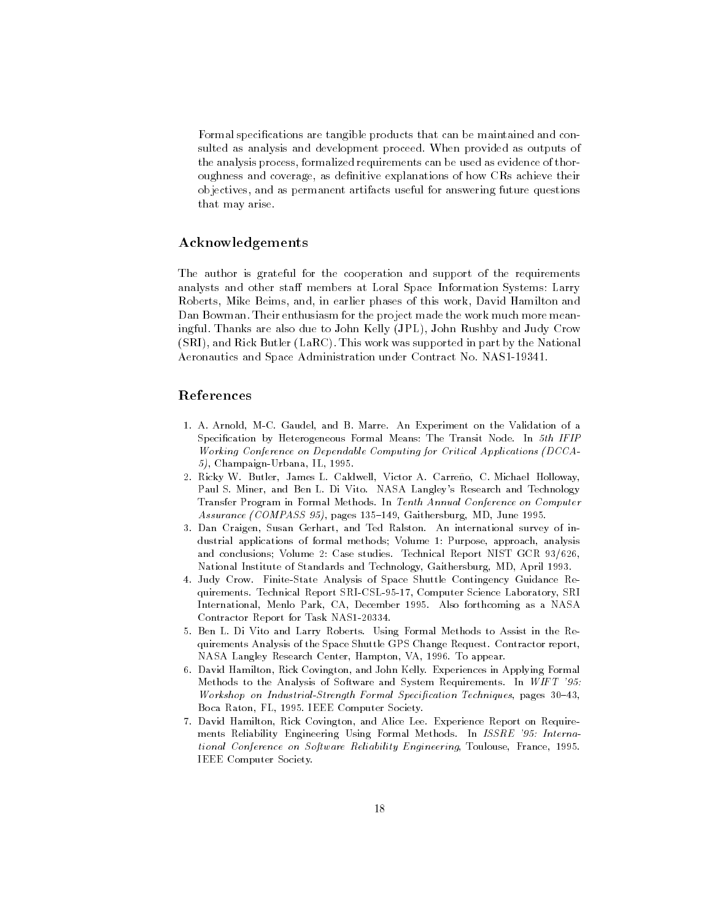Formal specifications are tangible products that can be maintained and consulted as analysis and development proceed. When provided as outputs of the analysis process, formalized requirements can be used as evidence of thoroughness and coverage, as definitive explanations of how CRs achieve their objectives, and as permanent artifacts useful for answering future questions that may arise.

## Acknowledgements

The author is grateful for the cooperation and support of the requirements analysts and other staff members at Loral Space Information Systems: Larry Roberts, Mike Beims, and, in earlier phases of this work, David Hamilton and Dan Bowman. Their enthusiasm for the project made the work much more meaningful. Thanks are also due to John Kelly (JPL), John Rushby and Judy Crow (SRI), and Rick Butler (LaRC). This work was supported in part by the National Aeronautics and Space Administration under Contract No. NAS1-19341.

## References

- 1. A. Arnold, M-C. Gaudel, and B. Marre. An Experiment on the Validation of a Specification by Heterogeneous Formal Means: The Transit Node. In 5th IFIP Working Conference on Dependable Computing for Critical Applications (DCCA-5), Champaign-Urbana, IL, 1995.
- 2. Ricky W. Butler, James L. Caldwell, Victor A. Carreño, C. Michael Holloway, Paul S. Miner, and Ben L. Di Vito. NASA Langley's Research and Technology Transfer Program in Formal Methods. In Tenth Annual Conference on Computer Assurance (COMPASS 95), pages 135-149, Gaithersburg, MD, June 1995.
- 3. Dan Craigen, Susan Gerhart, and Ted Ralston. An international survey of industrial applications of formal methods; Volume 1: Purpose, approach, analysis and conclusions; Volume 2: Case studies. Technical Report NIST GCR 93/626, National Institute of Standards and Technology, Gaithersburg, MD, April 1993.
- 4. Judy Crow. Finite-State Analysis of Space Shuttle Contingency Guidance Requirements. Technical Report SRI-CSL-95-17, Computer Science Laboratory, SRI International, Menlo Park, CA, December 1995. Also forthcoming as a NASA Contractor Report for Task NAS1-20334.
- 5. Ben L. Di Vito and Larry Roberts. Using Formal Methods to Assist in the Requirements Analysis of the Space Shuttle GPS Change Request. Contractor report, NASA Langley Research Center, Hampton, VA, 1996. To appear.
- 6. David Hamilton, Rick Covington, and John Kelly. Experiences in Applying Formal Methods to the Analysis of Software and System Requirements. In WIFT '95: Workshop on Industrial-Strength Formal Specification Techniques, pages 30-43, Boca Raton, FL, 1995. IEEE Computer Society.
- 7. David Hamilton, Rick Covington, and Alice Lee. Experience Report on Require ments Reliability Engineering Using Formal Methods. In ISSRE '95: International Conference on Software Reliability Engineering, Toulouse, France, 1995. IEEE Computer Society.